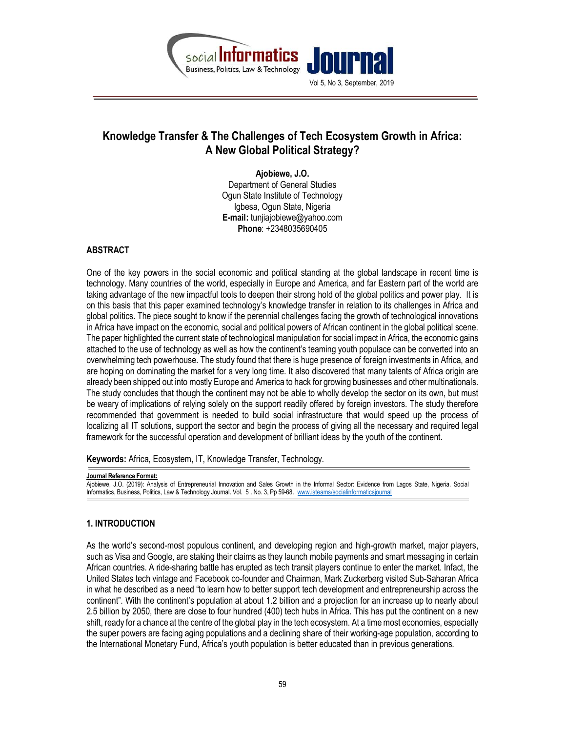

# Knowledge Transfer & The Challenges of Tech Ecosystem Growth in Africa: A New Global Political Strategy?

Ajobiewe, J.O. Department of General Studies Ogun State Institute of Technology Igbesa, Ogun State, Nigeria E-mail: tunjiajobiewe@yahoo.com Phone: +2348035690405

#### ABSTRACT

One of the key powers in the social economic and political standing at the global landscape in recent time is technology. Many countries of the world, especially in Europe and America, and far Eastern part of the world are taking advantage of the new impactful tools to deepen their strong hold of the global politics and power play. It is on this basis that this paper examined technology's knowledge transfer in relation to its challenges in Africa and global politics. The piece sought to know if the perennial challenges facing the growth of technological innovations in Africa have impact on the economic, social and political powers of African continent in the global political scene. The paper highlighted the current state of technological manipulation for social impact in Africa, the economic gains attached to the use of technology as well as how the continent's teaming youth populace can be converted into an overwhelming tech powerhouse. The study found that there is huge presence of foreign investments in Africa, and are hoping on dominating the market for a very long time. It also discovered that many talents of Africa origin are already been shipped out into mostly Europe and America to hack for growing businesses and other multinationals. The study concludes that though the continent may not be able to wholly develop the sector on its own, but must be weary of implications of relying solely on the support readily offered by foreign investors. The study therefore recommended that government is needed to build social infrastructure that would speed up the process of localizing all IT solutions, support the sector and begin the process of giving all the necessary and required legal framework for the successful operation and development of brilliant ideas by the youth of the continent.

Keywords: Africa, Ecosystem, IT, Knowledge Transfer, Technology.

#### Journal Reference Format:

Ajobiewe, J.O. (2019): Analysis of Entrepreneurial Innovation and Sales Growth in the Informal Sector: Evidence from Lagos State, Nigeria. Social Informatics, Business, Politics, Law & Technology Journal. Vol. 5 . No. 3, Pp 59-68. www.isteams/socialinformaticsjournal

# 1. INTRODUCTION

As the world's second-most populous continent, and developing region and high-growth market, major players, such as Visa and Google, are staking their claims as they launch mobile payments and smart messaging in certain African countries. A ride-sharing battle has erupted as tech transit players continue to enter the market. Infact, the United States tech vintage and Facebook co-founder and Chairman, Mark Zuckerberg visited Sub-Saharan Africa in what he described as a need "to learn how to better support tech development and entrepreneurship across the continent". With the continent's population at about 1.2 billion and a projection for an increase up to nearly about 2.5 billion by 2050, there are close to four hundred (400) tech hubs in Africa. This has put the continent on a new shift, ready for a chance at the centre of the global play in the tech ecosystem. At a time most economies, especially the super powers are facing aging populations and a declining share of their working-age population, according to the International Monetary Fund, Africa's youth population is better educated than in previous generations.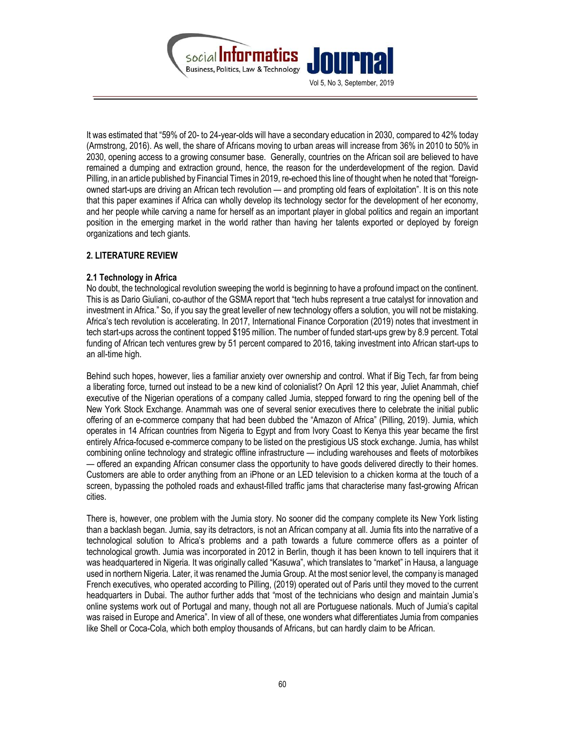

It was estimated that "59% of 20- to 24-year-olds will have a secondary education in 2030, compared to 42% today (Armstrong, 2016). As well, the share of Africans moving to urban areas will increase from 36% in 2010 to 50% in 2030, opening access to a growing consumer base. Generally, countries on the African soil are believed to have remained a dumping and extraction ground, hence, the reason for the underdevelopment of the region. David Pilling, in an article published by Financial Times in 2019, re-echoed this line of thought when he noted that "foreignowned start-ups are driving an African tech revolution — and prompting old fears of exploitation". It is on this note that this paper examines if Africa can wholly develop its technology sector for the development of her economy, and her people while carving a name for herself as an important player in global politics and regain an important position in the emerging market in the world rather than having her talents exported or deployed by foreign organizations and tech giants.

#### 2. LITERATURE REVIEW

#### 2.1 Technology in Africa

No doubt, the technological revolution sweeping the world is beginning to have a profound impact on the continent. This is as Dario Giuliani, co-author of the GSMA report that "tech hubs represent a true catalyst for innovation and investment in Africa." So, if you say the great leveller of new technology offers a solution, you will not be mistaking. Africa's tech revolution is accelerating. In 2017, International Finance Corporation (2019) notes that investment in tech start-ups across the continent topped \$195 million. The number of funded start-ups grew by 8.9 percent. Total funding of African tech ventures grew by 51 percent compared to 2016, taking investment into African start-ups to an all-time high.

Behind such hopes, however, lies a familiar anxiety over ownership and control. What if Big Tech, far from being a liberating force, turned out instead to be a new kind of colonialist? On April 12 this year, Juliet Anammah, chief executive of the Nigerian operations of a company called Jumia, stepped forward to ring the opening bell of the New York Stock Exchange. Anammah was one of several senior executives there to celebrate the initial public offering of an e-commerce company that had been dubbed the "Amazon of Africa" (Pilling, 2019). Jumia, which operates in 14 African countries from Nigeria to Egypt and from Ivory Coast to Kenya this year became the first entirely Africa-focused e-commerce company to be listed on the prestigious US stock exchange. Jumia, has whilst combining online technology and strategic offline infrastructure — including warehouses and fleets of motorbikes — offered an expanding African consumer class the opportunity to have goods delivered directly to their homes. Customers are able to order anything from an iPhone or an LED television to a chicken korma at the touch of a screen, bypassing the potholed roads and exhaust-filled traffic jams that characterise many fast-growing African cities.

There is, however, one problem with the Jumia story. No sooner did the company complete its New York listing than a backlash began. Jumia, say its detractors, is not an African company at all. Jumia fits into the narrative of a technological solution to Africa's problems and a path towards a future commerce offers as a pointer of technological growth. Jumia was incorporated in 2012 in Berlin, though it has been known to tell inquirers that it was headquartered in Nigeria. It was originally called "Kasuwa", which translates to "market" in Hausa, a language used in northern Nigeria. Later, it was renamed the Jumia Group. At the most senior level, the company is managed French executives, who operated according to Pilling, (2019) operated out of Paris until they moved to the current headquarters in Dubai. The author further adds that "most of the technicians who design and maintain Jumia's online systems work out of Portugal and many, though not all are Portuguese nationals. Much of Jumia's capital was raised in Europe and America". In view of all of these, one wonders what differentiates Jumia from companies like Shell or Coca-Cola, which both employ thousands of Africans, but can hardly claim to be African.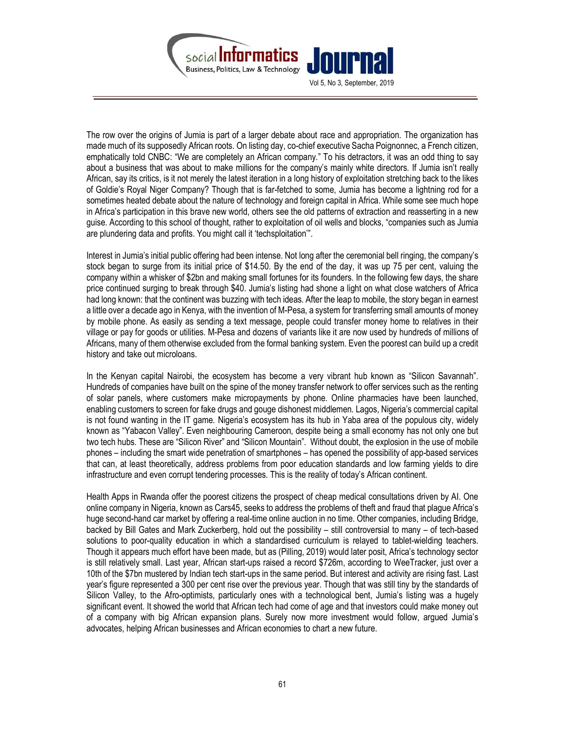

The row over the origins of Jumia is part of a larger debate about race and appropriation. The organization has made much of its supposedly African roots. On listing day, co-chief executive Sacha Poignonnec, a French citizen, emphatically told CNBC: "We are completely an African company." To his detractors, it was an odd thing to say about a business that was about to make millions for the company's mainly white directors. If Jumia isn't really African, say its critics, is it not merely the latest iteration in a long history of exploitation stretching back to the likes of Goldie's Royal Niger Company? Though that is far-fetched to some, Jumia has become a lightning rod for a sometimes heated debate about the nature of technology and foreign capital in Africa. While some see much hope in Africa's participation in this brave new world, others see the old patterns of extraction and reasserting in a new guise. According to this school of thought, rather to exploitation of oil wells and blocks, "companies such as Jumia are plundering data and profits. You might call it 'techsploitation'".

Interest in Jumia's initial public offering had been intense. Not long after the ceremonial bell ringing, the company's stock began to surge from its initial price of \$14.50. By the end of the day, it was up 75 per cent, valuing the company within a whisker of \$2bn and making small fortunes for its founders. In the following few days, the share price continued surging to break through \$40. Jumia's listing had shone a light on what close watchers of Africa had long known: that the continent was buzzing with tech ideas. After the leap to mobile, the story began in earnest a little over a decade ago in Kenya, with the invention of M-Pesa, a system for transferring small amounts of money by mobile phone. As easily as sending a text message, people could transfer money home to relatives in their village or pay for goods or utilities. M-Pesa and dozens of variants like it are now used by hundreds of millions of Africans, many of them otherwise excluded from the formal banking system. Even the poorest can build up a credit history and take out microloans.

In the Kenyan capital Nairobi, the ecosystem has become a very vibrant hub known as "Silicon Savannah". Hundreds of companies have built on the spine of the money transfer network to offer services such as the renting of solar panels, where customers make micropayments by phone. Online pharmacies have been launched, enabling customers to screen for fake drugs and gouge dishonest middlemen. Lagos, Nigeria's commercial capital is not found wanting in the IT game. Nigeria's ecosystem has its hub in Yaba area of the populous city, widely known as "Yabacon Valley". Even neighbouring Cameroon, despite being a small economy has not only one but two tech hubs. These are "Silicon River" and "Silicon Mountain". Without doubt, the explosion in the use of mobile phones – including the smart wide penetration of smartphones – has opened the possibility of app-based services that can, at least theoretically, address problems from poor education standards and low farming yields to dire infrastructure and even corrupt tendering processes. This is the reality of today's African continent.

Health Apps in Rwanda offer the poorest citizens the prospect of cheap medical consultations driven by AI. One online company in Nigeria, known as Cars45, seeks to address the problems of theft and fraud that plague Africa's huge second-hand car market by offering a real-time online auction in no time. Other companies, including Bridge, backed by Bill Gates and Mark Zuckerberg, hold out the possibility – still controversial to many – of tech-based solutions to poor-quality education in which a standardised curriculum is relayed to tablet-wielding teachers. Though it appears much effort have been made, but as (Pilling, 2019) would later posit, Africa's technology sector is still relatively small. Last year, African start-ups raised a record \$726m, according to WeeTracker, just over a 10th of the \$7bn mustered by Indian tech start-ups in the same period. But interest and activity are rising fast. Last year's figure represented a 300 per cent rise over the previous year. Though that was still tiny by the standards of Silicon Valley, to the Afro-optimists, particularly ones with a technological bent, Jumia's listing was a hugely significant event. It showed the world that African tech had come of age and that investors could make money out of a company with big African expansion plans. Surely now more investment would follow, argued Jumia's advocates, helping African businesses and African economies to chart a new future.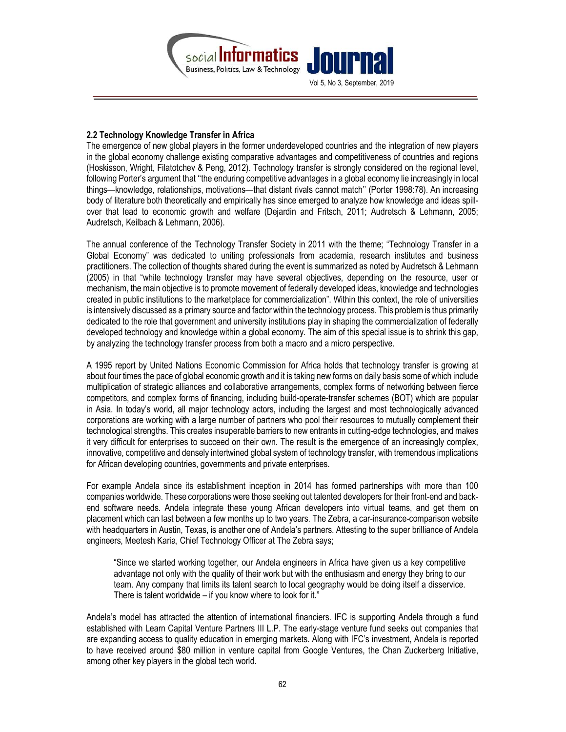

### 2.2 Technology Knowledge Transfer in Africa

The emergence of new global players in the former underdeveloped countries and the integration of new players in the global economy challenge existing comparative advantages and competitiveness of countries and regions (Hoskisson, Wright, Filatotchev & Peng, 2012). Technology transfer is strongly considered on the regional level, following Porter's argument that ''the enduring competitive advantages in a global economy lie increasingly in local things—knowledge, relationships, motivations—that distant rivals cannot match'' (Porter 1998:78). An increasing body of literature both theoretically and empirically has since emerged to analyze how knowledge and ideas spillover that lead to economic growth and welfare (Dejardin and Fritsch, 2011; Audretsch & Lehmann, 2005; Audretsch, Keilbach & Lehmann, 2006).

The annual conference of the Technology Transfer Society in 2011 with the theme; "Technology Transfer in a Global Economy" was dedicated to uniting professionals from academia, research institutes and business practitioners. The collection of thoughts shared during the event is summarized as noted by Audretsch & Lehmann (2005) in that "while technology transfer may have several objectives, depending on the resource, user or mechanism, the main objective is to promote movement of federally developed ideas, knowledge and technologies created in public institutions to the marketplace for commercialization". Within this context, the role of universities is intensively discussed as a primary source and factor within the technology process. This problem is thus primarily dedicated to the role that government and university institutions play in shaping the commercialization of federally developed technology and knowledge within a global economy. The aim of this special issue is to shrink this gap, by analyzing the technology transfer process from both a macro and a micro perspective.

A 1995 report by United Nations Economic Commission for Africa holds that technology transfer is growing at about four times the pace of global economic growth and it is taking new forms on daily basis some of which include multiplication of strategic alliances and collaborative arrangements, complex forms of networking between fierce competitors, and complex forms of financing, including build-operate-transfer schemes (BOT) which are popular in Asia. In today's world, all major technology actors, including the largest and most technologically advanced corporations are working with a large number of partners who pool their resources to mutually complement their technological strengths. This creates insuperable barriers to new entrants in cutting-edge technologies, and makes it very difficult for enterprises to succeed on their own. The result is the emergence of an increasingly complex, innovative, competitive and densely intertwined global system of technology transfer, with tremendous implications for African developing countries, governments and private enterprises.

For example Andela since its establishment inception in 2014 has formed partnerships with more than 100 companies worldwide. These corporations were those seeking out talented developers for their front-end and backend software needs. Andela integrate these young African developers into virtual teams, and get them on placement which can last between a few months up to two years. The Zebra, a car-insurance-comparison website with headquarters in Austin, Texas, is another one of Andela's partners. Attesting to the super brilliance of Andela engineers, Meetesh Karia, Chief Technology Officer at The Zebra says;

"Since we started working together, our Andela engineers in Africa have given us a key competitive advantage not only with the quality of their work but with the enthusiasm and energy they bring to our team. Any company that limits its talent search to local geography would be doing itself a disservice. There is talent worldwide – if you know where to look for it."

Andela's model has attracted the attention of international financiers. IFC is supporting Andela through a fund established with Learn Capital Venture Partners III L.P. The early-stage venture fund seeks out companies that are expanding access to quality education in emerging markets. Along with IFC's investment, Andela is reported to have received around \$80 million in venture capital from Google Ventures, the Chan Zuckerberg Initiative, among other key players in the global tech world.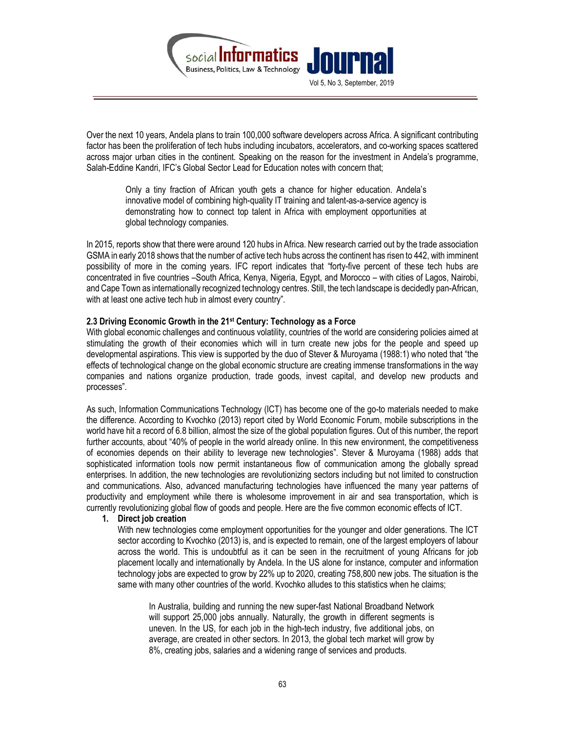

Over the next 10 years, Andela plans to train 100,000 software developers across Africa. A significant contributing factor has been the proliferation of tech hubs including incubators, accelerators, and co-working spaces scattered across major urban cities in the continent. Speaking on the reason for the investment in Andela's programme, Salah-Eddine Kandri, IFC's Global Sector Lead for Education notes with concern that;

Only a tiny fraction of African youth gets a chance for higher education. Andela's innovative model of combining high-quality IT training and talent-as-a-service agency is demonstrating how to connect top talent in Africa with employment opportunities at global technology companies.

In 2015, reports show that there were around 120 hubs in Africa. New research carried out by the trade association GSMA in early 2018 shows that the number of active tech hubs across the continent has risen to 442, with imminent possibility of more in the coming years. IFC report indicates that "forty-five percent of these tech hubs are concentrated in five countries –South Africa, Kenya, Nigeria, Egypt, and Morocco – with cities of Lagos, Nairobi, and Cape Town as internationally recognized technology centres. Still, the tech landscape is decidedly pan-African, with at least one active tech hub in almost every country".

#### 2.3 Driving Economic Growth in the 21st Century: Technology as a Force

With global economic challenges and continuous volatility, countries of the world are considering policies aimed at stimulating the growth of their economies which will in turn create new jobs for the people and speed up developmental aspirations. This view is supported by the duo of Stever & Muroyama (1988:1) who noted that "the effects of technological change on the global economic structure are creating immense transformations in the way companies and nations organize production, trade goods, invest capital, and develop new products and processes".

As such, Information Communications Technology (ICT) has become one of the go-to materials needed to make the difference. According to Kvochko (2013) report cited by World Economic Forum, mobile subscriptions in the world have hit a record of 6.8 billion, almost the size of the global population figures. Out of this number, the report further accounts, about "40% of people in the world already online. In this new environment, the competitiveness of economies depends on their ability to leverage new technologies". Stever & Muroyama (1988) adds that sophisticated information tools now permit instantaneous flow of communication among the globally spread enterprises. In addition, the new technologies are revolutionizing sectors including but not limited to construction and communications. Also, advanced manufacturing technologies have influenced the many year patterns of productivity and employment while there is wholesome improvement in air and sea transportation, which is currently revolutionizing global flow of goods and people. Here are the five common economic effects of ICT.

#### 1. Direct job creation

With new technologies come employment opportunities for the younger and older generations. The ICT sector according to Kvochko (2013) is, and is expected to remain, one of the largest employers of labour across the world. This is undoubtful as it can be seen in the recruitment of young Africans for job placement locally and internationally by Andela. In the US alone for instance, computer and information technology jobs are expected to grow by 22% up to 2020, creating 758,800 new jobs. The situation is the same with many other countries of the world. Kvochko alludes to this statistics when he claims;

In Australia, building and running the new super-fast National Broadband Network will support 25,000 jobs annually. Naturally, the growth in different segments is uneven. In the US, for each job in the high-tech industry, five additional jobs, on average, are created in other sectors. In 2013, the global tech market will grow by 8%, creating jobs, salaries and a widening range of services and products.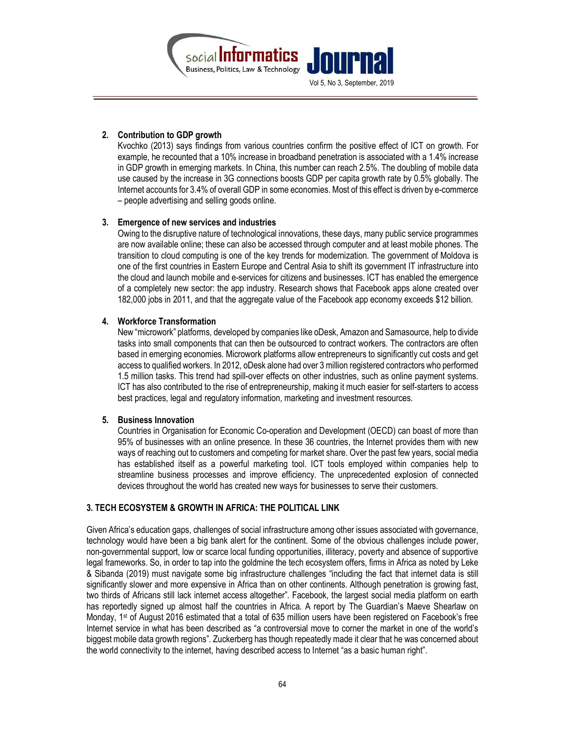

### 2. Contribution to GDP growth

Kvochko (2013) says findings from various countries confirm the positive effect of ICT on growth. For example, he recounted that a 10% increase in broadband penetration is associated with a 1.4% increase in GDP growth in emerging markets. In China, this number can reach 2.5%. The doubling of mobile data use caused by the increase in 3G connections boosts GDP per capita growth rate by 0.5% globally. The Internet accounts for 3.4% of overall GDP in some economies. Most of this effect is driven by e-commerce – people advertising and selling goods online.

#### 3. Emergence of new services and industries

Owing to the disruptive nature of technological innovations, these days, many public service programmes are now available online; these can also be accessed through computer and at least mobile phones. The transition to cloud computing is one of the key trends for modernization. The government of Moldova is one of the first countries in Eastern Europe and Central Asia to shift its government IT infrastructure into the cloud and launch mobile and e-services for citizens and businesses. ICT has enabled the emergence of a completely new sector: the app industry. Research shows that Facebook apps alone created over 182,000 jobs in 2011, and that the aggregate value of the Facebook app economy exceeds \$12 billion.

#### 4. Workforce Transformation

New "microwork" platforms, developed by companies like oDesk, Amazon and Samasource, help to divide tasks into small components that can then be outsourced to contract workers. The contractors are often based in emerging economies. Microwork platforms allow entrepreneurs to significantly cut costs and get access to qualified workers. In 2012, oDesk alone had over 3 million registered contractors who performed 1.5 million tasks. This trend had spill-over effects on other industries, such as online payment systems. ICT has also contributed to the rise of entrepreneurship, making it much easier for self-starters to access best practices, legal and regulatory information, marketing and investment resources.

#### 5. Business Innovation

Countries in Organisation for Economic Co-operation and Development (OECD) can boast of more than 95% of businesses with an online presence. In these 36 countries, the Internet provides them with new ways of reaching out to customers and competing for market share. Over the past few years, social media has established itself as a powerful marketing tool. ICT tools employed within companies help to streamline business processes and improve efficiency. The unprecedented explosion of connected devices throughout the world has created new ways for businesses to serve their customers.

# 3. TECH ECOSYSTEM & GROWTH IN AFRICA: THE POLITICAL LINK

Given Africa's education gaps, challenges of social infrastructure among other issues associated with governance, technology would have been a big bank alert for the continent. Some of the obvious challenges include power, non-governmental support, low or scarce local funding opportunities, illiteracy, poverty and absence of supportive legal frameworks. So, in order to tap into the goldmine the tech ecosystem offers, firms in Africa as noted by Leke & Sibanda (2019) must navigate some big infrastructure challenges "including the fact that internet data is still significantly slower and more expensive in Africa than on other continents. Although penetration is growing fast, two thirds of Africans still lack internet access altogether". Facebook, the largest social media platform on earth has reportedly signed up almost half the countries in Africa. A report by The Guardian's Maeve Shearlaw on Monday, 1<sup>st</sup> of August 2016 estimated that a total of 635 million users have been registered on Facebook's free Internet service in what has been described as "a controversial move to corner the market in one of the world's biggest mobile data growth regions". Zuckerberg has though repeatedly made it clear that he was concerned about the world connectivity to the internet, having described access to Internet "as a basic human right".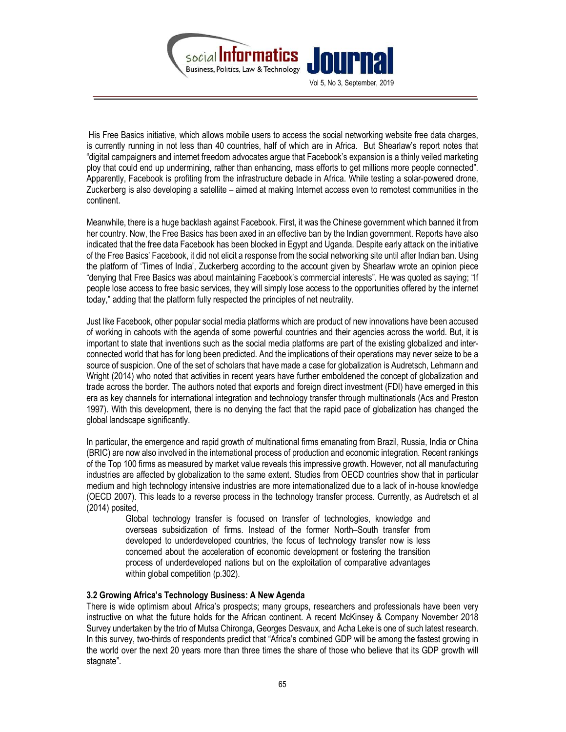

 His Free Basics initiative, which allows mobile users to access the social networking website free data charges, is currently running in not less than 40 countries, half of which are in Africa. But Shearlaw's report notes that "digital campaigners and internet freedom advocates argue that Facebook's expansion is a thinly veiled marketing ploy that could end up undermining, rather than enhancing, mass efforts to get millions more people connected". Apparently, Facebook is profiting from the infrastructure debacle in Africa. While testing a solar-powered drone, Zuckerberg is also developing a satellite – aimed at making Internet access even to remotest communities in the continent.

Meanwhile, there is a huge backlash against Facebook. First, it was the Chinese government which banned it from her country. Now, the Free Basics has been axed in an effective ban by the Indian government. Reports have also indicated that the free data Facebook has been blocked in Egypt and Uganda. Despite early attack on the initiative of the Free Basics' Facebook, it did not elicit a response from the social networking site until after Indian ban. Using the platform of 'Times of India', Zuckerberg according to the account given by Shearlaw wrote an opinion piece "denying that Free Basics was about maintaining Facebook's commercial interests". He was quoted as saying; "If people lose access to free basic services, they will simply lose access to the opportunities offered by the internet today," adding that the platform fully respected the principles of net neutrality.

Just like Facebook, other popular social media platforms which are product of new innovations have been accused of working in cahoots with the agenda of some powerful countries and their agencies across the world. But, it is important to state that inventions such as the social media platforms are part of the existing globalized and interconnected world that has for long been predicted. And the implications of their operations may never seize to be a source of suspicion. One of the set of scholars that have made a case for globalization is Audretsch, Lehmann and Wright (2014) who noted that activities in recent years have further emboldened the concept of globalization and trade across the border. The authors noted that exports and foreign direct investment (FDI) have emerged in this era as key channels for international integration and technology transfer through multinationals (Acs and Preston 1997). With this development, there is no denying the fact that the rapid pace of globalization has changed the global landscape significantly.

In particular, the emergence and rapid growth of multinational firms emanating from Brazil, Russia, India or China (BRIC) are now also involved in the international process of production and economic integration. Recent rankings of the Top 100 firms as measured by market value reveals this impressive growth. However, not all manufacturing industries are affected by globalization to the same extent. Studies from OECD countries show that in particular medium and high technology intensive industries are more internationalized due to a lack of in-house knowledge (OECD 2007). This leads to a reverse process in the technology transfer process. Currently, as Audretsch et al (2014) posited,

Global technology transfer is focused on transfer of technologies, knowledge and overseas subsidization of firms. Instead of the former North–South transfer from developed to underdeveloped countries, the focus of technology transfer now is less concerned about the acceleration of economic development or fostering the transition process of underdeveloped nations but on the exploitation of comparative advantages within global competition (p.302).

#### 3.2 Growing Africa's Technology Business: A New Agenda

There is wide optimism about Africa's prospects; many groups, researchers and professionals have been very instructive on what the future holds for the African continent. A recent McKinsey & Company November 2018 Survey undertaken by the trio of Mutsa Chironga, Georges Desvaux, and Acha Leke is one of such latest research. In this survey, two-thirds of respondents predict that "Africa's combined GDP will be among the fastest growing in the world over the next 20 years more than three times the share of those who believe that its GDP growth will stagnate".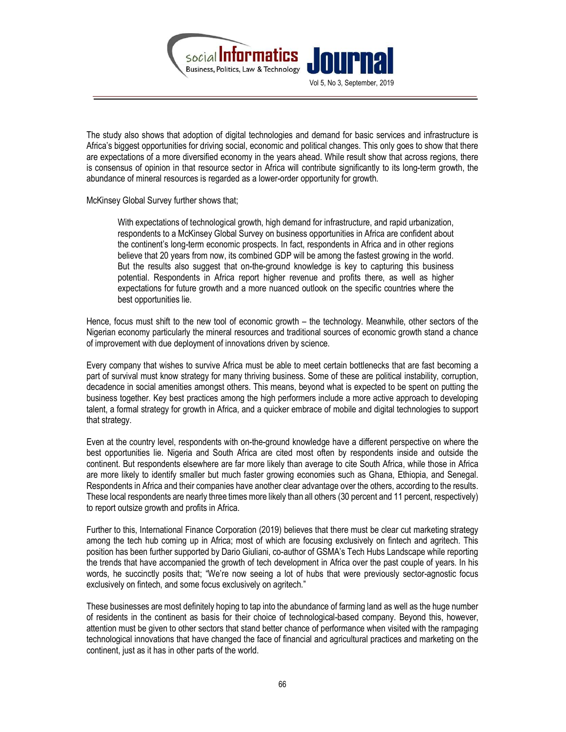

The study also shows that adoption of digital technologies and demand for basic services and infrastructure is Africa's biggest opportunities for driving social, economic and political changes. This only goes to show that there are expectations of a more diversified economy in the years ahead. While result show that across regions, there is consensus of opinion in that resource sector in Africa will contribute significantly to its long-term growth, the abundance of mineral resources is regarded as a lower-order opportunity for growth.

McKinsey Global Survey further shows that;

With expectations of technological growth, high demand for infrastructure, and rapid urbanization, respondents to a McKinsey Global Survey on business opportunities in Africa are confident about the continent's long-term economic prospects. In fact, respondents in Africa and in other regions believe that 20 years from now, its combined GDP will be among the fastest growing in the world. But the results also suggest that on-the-ground knowledge is key to capturing this business potential. Respondents in Africa report higher revenue and profits there, as well as higher expectations for future growth and a more nuanced outlook on the specific countries where the best opportunities lie.

Hence, focus must shift to the new tool of economic growth – the technology. Meanwhile, other sectors of the Nigerian economy particularly the mineral resources and traditional sources of economic growth stand a chance of improvement with due deployment of innovations driven by science.

Every company that wishes to survive Africa must be able to meet certain bottlenecks that are fast becoming a part of survival must know strategy for many thriving business. Some of these are political instability, corruption, decadence in social amenities amongst others. This means, beyond what is expected to be spent on putting the business together. Key best practices among the high performers include a more active approach to developing talent, a formal strategy for growth in Africa, and a quicker embrace of mobile and digital technologies to support that strategy.

Even at the country level, respondents with on-the-ground knowledge have a different perspective on where the best opportunities lie. Nigeria and South Africa are cited most often by respondents inside and outside the continent. But respondents elsewhere are far more likely than average to cite South Africa, while those in Africa are more likely to identify smaller but much faster growing economies such as Ghana, Ethiopia, and Senegal. Respondents in Africa and their companies have another clear advantage over the others, according to the results. These local respondents are nearly three times more likely than all others (30 percent and 11 percent, respectively) to report outsize growth and profits in Africa.

Further to this, International Finance Corporation (2019) believes that there must be clear cut marketing strategy among the tech hub coming up in Africa; most of which are focusing exclusively on fintech and agritech. This position has been further supported by Dario Giuliani, co-author of GSMA's Tech Hubs Landscape while reporting the trends that have accompanied the growth of tech development in Africa over the past couple of years. In his words, he succinctly posits that; "We're now seeing a lot of hubs that were previously sector-agnostic focus exclusively on fintech, and some focus exclusively on agritech."

These businesses are most definitely hoping to tap into the abundance of farming land as well as the huge number of residents in the continent as basis for their choice of technological-based company. Beyond this, however, attention must be given to other sectors that stand better chance of performance when visited with the rampaging technological innovations that have changed the face of financial and agricultural practices and marketing on the continent, just as it has in other parts of the world.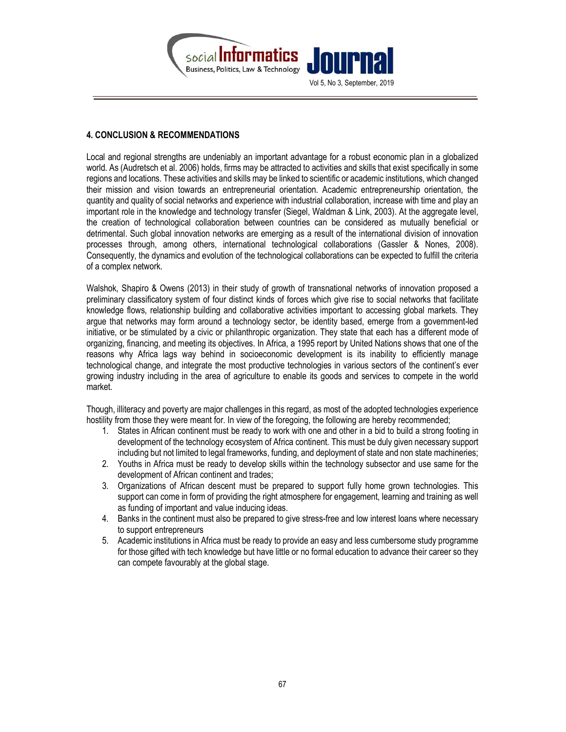

# 4. CONCLUSION & RECOMMENDATIONS

Local and regional strengths are undeniably an important advantage for a robust economic plan in a globalized world. As (Audretsch et al. 2006) holds, firms may be attracted to activities and skills that exist specifically in some regions and locations. These activities and skills may be linked to scientific or academic institutions, which changed their mission and vision towards an entrepreneurial orientation. Academic entrepreneurship orientation, the quantity and quality of social networks and experience with industrial collaboration, increase with time and play an important role in the knowledge and technology transfer (Siegel, Waldman & Link, 2003). At the aggregate level, the creation of technological collaboration between countries can be considered as mutually beneficial or detrimental. Such global innovation networks are emerging as a result of the international division of innovation processes through, among others, international technological collaborations (Gassler & Nones, 2008). Consequently, the dynamics and evolution of the technological collaborations can be expected to fulfill the criteria of a complex network.

Walshok, Shapiro & Owens (2013) in their study of growth of transnational networks of innovation proposed a preliminary classificatory system of four distinct kinds of forces which give rise to social networks that facilitate knowledge flows, relationship building and collaborative activities important to accessing global markets. They argue that networks may form around a technology sector, be identity based, emerge from a government-led initiative, or be stimulated by a civic or philanthropic organization. They state that each has a different mode of organizing, financing, and meeting its objectives. In Africa, a 1995 report by United Nations shows that one of the reasons why Africa lags way behind in socioeconomic development is its inability to efficiently manage technological change, and integrate the most productive technologies in various sectors of the continent's ever growing industry including in the area of agriculture to enable its goods and services to compete in the world market.

Though, illiteracy and poverty are major challenges in this regard, as most of the adopted technologies experience hostility from those they were meant for. In view of the foregoing, the following are hereby recommended;

- 1. States in African continent must be ready to work with one and other in a bid to build a strong footing in development of the technology ecosystem of Africa continent. This must be duly given necessary support including but not limited to legal frameworks, funding, and deployment of state and non state machineries;
- 2. Youths in Africa must be ready to develop skills within the technology subsector and use same for the development of African continent and trades;
- 3. Organizations of African descent must be prepared to support fully home grown technologies. This support can come in form of providing the right atmosphere for engagement, learning and training as well as funding of important and value inducing ideas.
- 4. Banks in the continent must also be prepared to give stress-free and low interest loans where necessary to support entrepreneurs
- 5. Academic institutions in Africa must be ready to provide an easy and less cumbersome study programme for those gifted with tech knowledge but have little or no formal education to advance their career so they can compete favourably at the global stage.